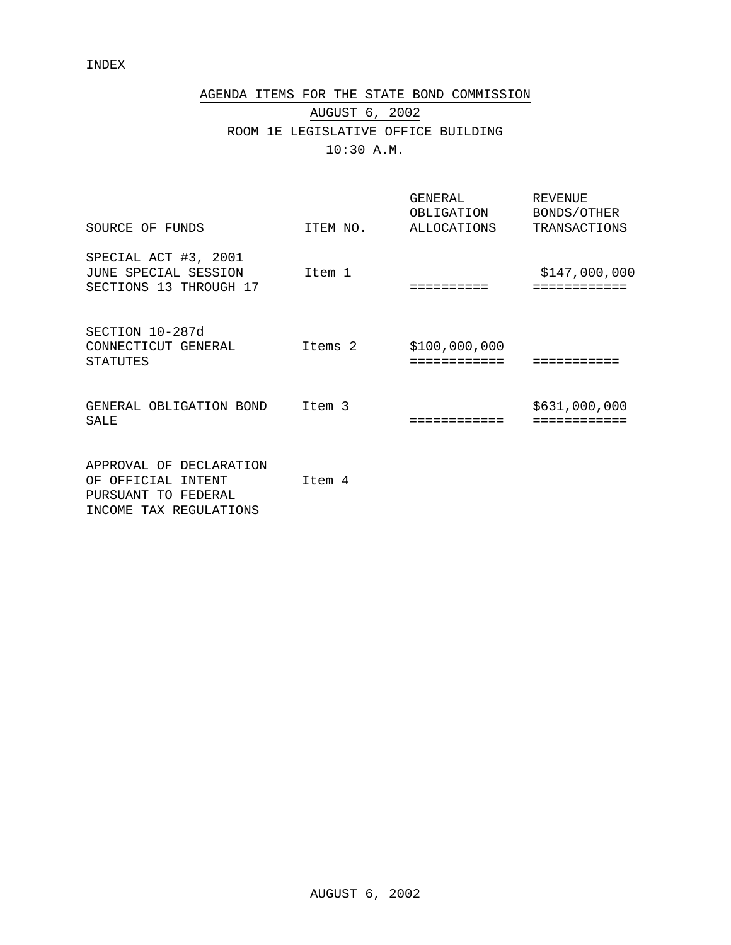# AGENDA ITEMS FOR THE STATE BOND COMMISSION AUGUST 6, 2002 ROOM 1E LEGISLATIVE OFFICE BUILDING 10:30 A.M.

| SOURCE OF FUNDS                                                                                   | ITEM NO. | GENERAL<br>OBLIGATION<br><b>ALLOCATIONS</b> | <b>REVENUE</b><br>BONDS/OTHER<br>TRANSACTIONS |
|---------------------------------------------------------------------------------------------------|----------|---------------------------------------------|-----------------------------------------------|
| SPECIAL ACT #3, 2001<br>JUNE SPECIAL SESSION<br>SECTIONS 13 THROUGH 17                            | Item 1   |                                             | \$147,000,000<br>============                 |
| SECTION 10-287d<br>CONNECTICUT GENERAL<br><b>STATUTES</b>                                         | Items 2  | \$100,000,000<br>===========                |                                               |
| GENERAL OBLIGATION BOND<br><b>SALE</b>                                                            | Item 3   |                                             | \$631,000,000                                 |
| APPROVAL OF DECLARATION<br>OF OFFICIAL<br>INTENT<br>PURSUANT TO FEDERAL<br>INCOME TAX REGULATIONS | Item 4   |                                             |                                               |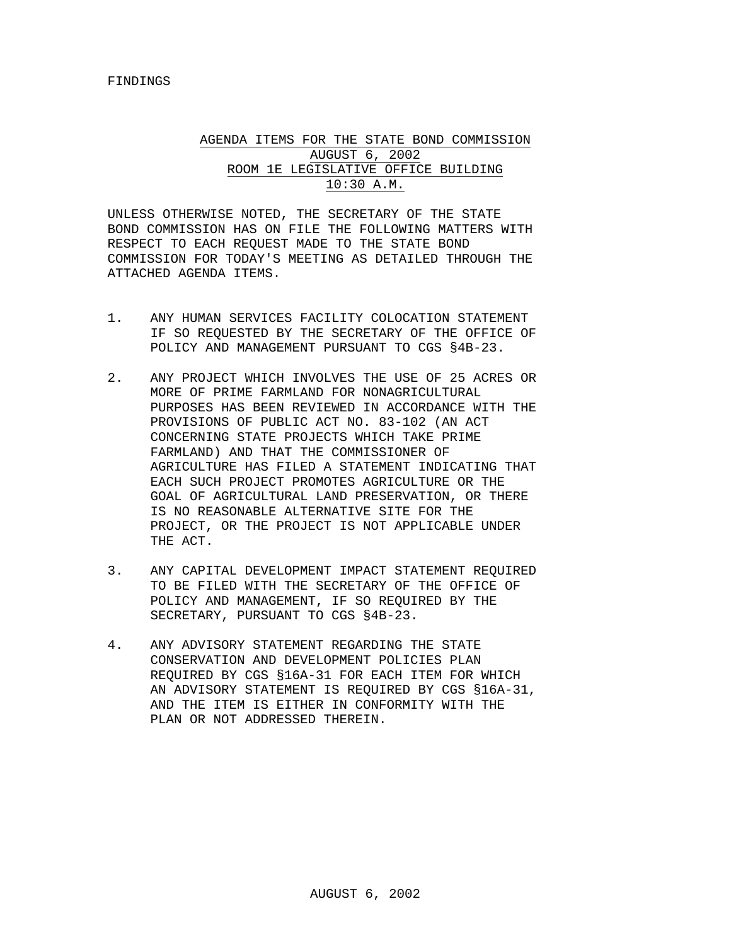## AGENDA ITEMS FOR THE STATE BOND COMMISSION AUGUST 6, 2002 ROOM 1E LEGISLATIVE OFFICE BUILDING 10:30 A.M.

UNLESS OTHERWISE NOTED, THE SECRETARY OF THE STATE BOND COMMISSION HAS ON FILE THE FOLLOWING MATTERS WITH RESPECT TO EACH REQUEST MADE TO THE STATE BOND COMMISSION FOR TODAY'S MEETING AS DETAILED THROUGH THE ATTACHED AGENDA ITEMS.

- 1. ANY HUMAN SERVICES FACILITY COLOCATION STATEMENT IF SO REQUESTED BY THE SECRETARY OF THE OFFICE OF POLICY AND MANAGEMENT PURSUANT TO CGS §4B-23.
- 2. ANY PROJECT WHICH INVOLVES THE USE OF 25 ACRES OR MORE OF PRIME FARMLAND FOR NONAGRICULTURAL PURPOSES HAS BEEN REVIEWED IN ACCORDANCE WITH THE PROVISIONS OF PUBLIC ACT NO. 83-102 (AN ACT CONCERNING STATE PROJECTS WHICH TAKE PRIME FARMLAND) AND THAT THE COMMISSIONER OF AGRICULTURE HAS FILED A STATEMENT INDICATING THAT EACH SUCH PROJECT PROMOTES AGRICULTURE OR THE GOAL OF AGRICULTURAL LAND PRESERVATION, OR THERE IS NO REASONABLE ALTERNATIVE SITE FOR THE PROJECT, OR THE PROJECT IS NOT APPLICABLE UNDER THE ACT.
- 3. ANY CAPITAL DEVELOPMENT IMPACT STATEMENT REQUIRED TO BE FILED WITH THE SECRETARY OF THE OFFICE OF POLICY AND MANAGEMENT, IF SO REQUIRED BY THE SECRETARY, PURSUANT TO CGS §4B-23.
- 4. ANY ADVISORY STATEMENT REGARDING THE STATE CONSERVATION AND DEVELOPMENT POLICIES PLAN REQUIRED BY CGS §16A-31 FOR EACH ITEM FOR WHICH AN ADVISORY STATEMENT IS REQUIRED BY CGS §16A-31, AND THE ITEM IS EITHER IN CONFORMITY WITH THE PLAN OR NOT ADDRESSED THEREIN.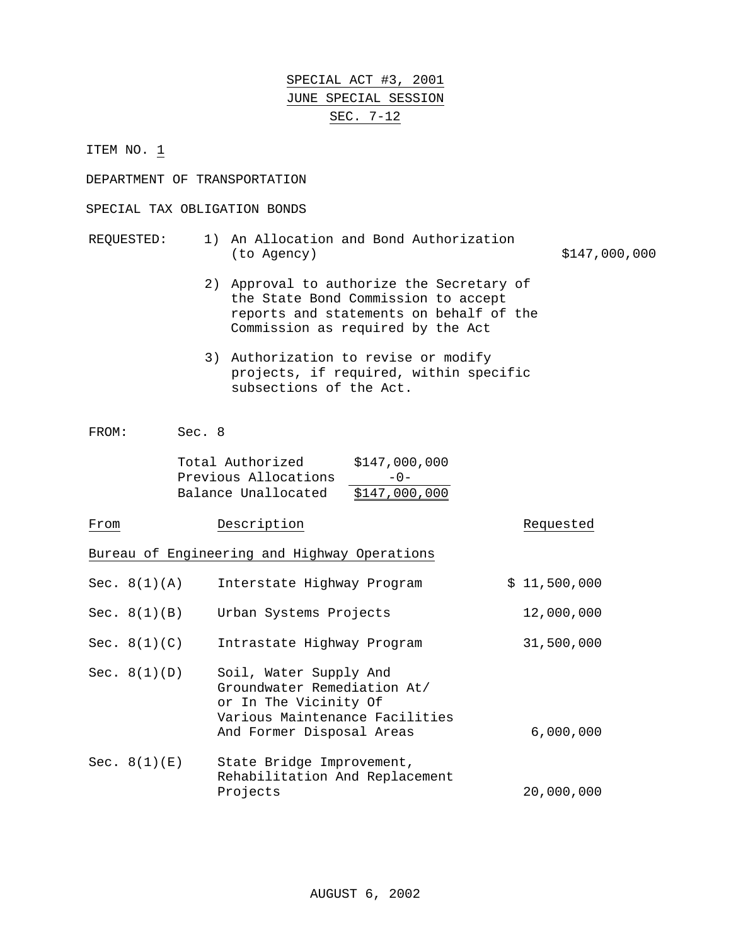# SPECIAL ACT #3, 2001 JUNE SPECIAL SESSION SEC. 7-12

ITEM NO. 1

DEPARTMENT OF TRANSPORTATION

## SPECIAL TAX OBLIGATION BONDS

## REQUESTED: 1) An Allocation and Bond Authorization (to Agency)  $$147,000,000$

- 2) Approval to authorize the Secretary of the State Bond Commission to accept reports and statements on behalf of the Commission as required by the Act
- 3) Authorization to revise or modify projects, if required, within specific subsections of the Act.

FROM: Sec. 8

| Total Authorized     | \$147,000,000 |
|----------------------|---------------|
| Previous Allocations | $-0-$         |
| Balance Unallocated  | \$147,000,000 |

| From |                | Description                                                                                                                                   | Requested    |
|------|----------------|-----------------------------------------------------------------------------------------------------------------------------------------------|--------------|
|      |                | Bureau of Engineering and Highway Operations                                                                                                  |              |
|      | Sec. $8(1)(A)$ | Interstate Highway Program                                                                                                                    | \$11,500,000 |
|      | Sec. $8(1)(B)$ | Urban Systems Projects                                                                                                                        | 12,000,000   |
|      | Sec. $8(1)(C)$ | Intrastate Highway Program                                                                                                                    | 31,500,000   |
|      | Sec. $8(1)(D)$ | Soil, Water Supply And<br>Groundwater Remediation At/<br>or In The Vicinity Of<br>Various Maintenance Facilities<br>And Former Disposal Areas | 6,000,000    |
|      | Sec. $8(1)(E)$ | State Bridge Improvement,<br>Rehabilitation And Replacement<br>Projects                                                                       | 20,000,000   |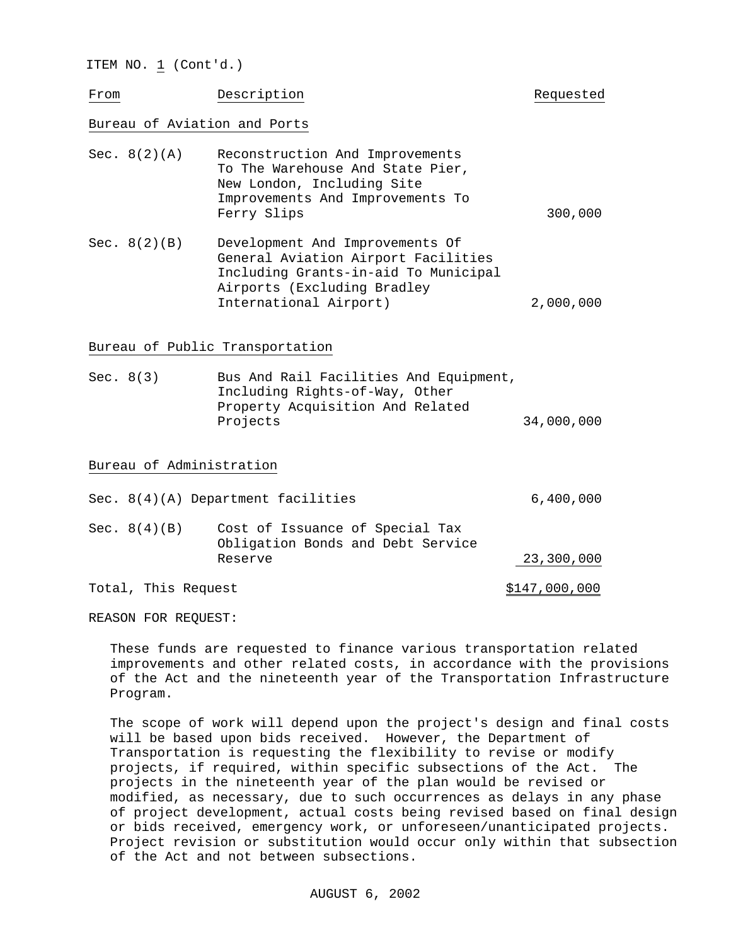ITEM NO. 1 (Cont'd.)

From Description **Description Requested** 

## Bureau of Aviation and Ports

| Sec. $8(2)(A)$ | Reconstruction And Improvements<br>To The Warehouse And State Pier,<br>New London, Including Site<br>Improvements And Improvements To<br>Ferry Slips                    | 300,000   |
|----------------|-------------------------------------------------------------------------------------------------------------------------------------------------------------------------|-----------|
| Sec. $8(2)(B)$ | Development And Improvements Of<br>General Aviation Airport Facilities<br>Including Grants-in-aid To Municipal<br>Airports (Excluding Bradley<br>International Airport) | 2,000,000 |

Bureau of Public Transportation

| Sec. $8(3)$ | Bus And Rail Facilities And Equipment, |            |
|-------------|----------------------------------------|------------|
|             | Including Rights-of-Way, Other         |            |
|             | Property Acquisition And Related       |            |
|             | Projects                               | 34,000,000 |
|             |                                        |            |

### Bureau of Administration

|                     | Sec. $8(4)(A)$ Department facilities                                 | 6,400,000     |
|---------------------|----------------------------------------------------------------------|---------------|
| Sec. $8(4)(B)$      | Cost of Issuance of Special Tax<br>Obligation Bonds and Debt Service |               |
|                     | Reserve                                                              | 23,300,000    |
| Total, This Request |                                                                      | \$147,000,000 |

REASON FOR REQUEST:

These funds are requested to finance various transportation related improvements and other related costs, in accordance with the provisions of the Act and the nineteenth year of the Transportation Infrastructure Program.

The scope of work will depend upon the project's design and final costs will be based upon bids received. However, the Department of Transportation is requesting the flexibility to revise or modify projects, if required, within specific subsections of the Act. The projects in the nineteenth year of the plan would be revised or modified, as necessary, due to such occurrences as delays in any phase of project development, actual costs being revised based on final design or bids received, emergency work, or unforeseen/unanticipated projects. Project revision or substitution would occur only within that subsection of the Act and not between subsections.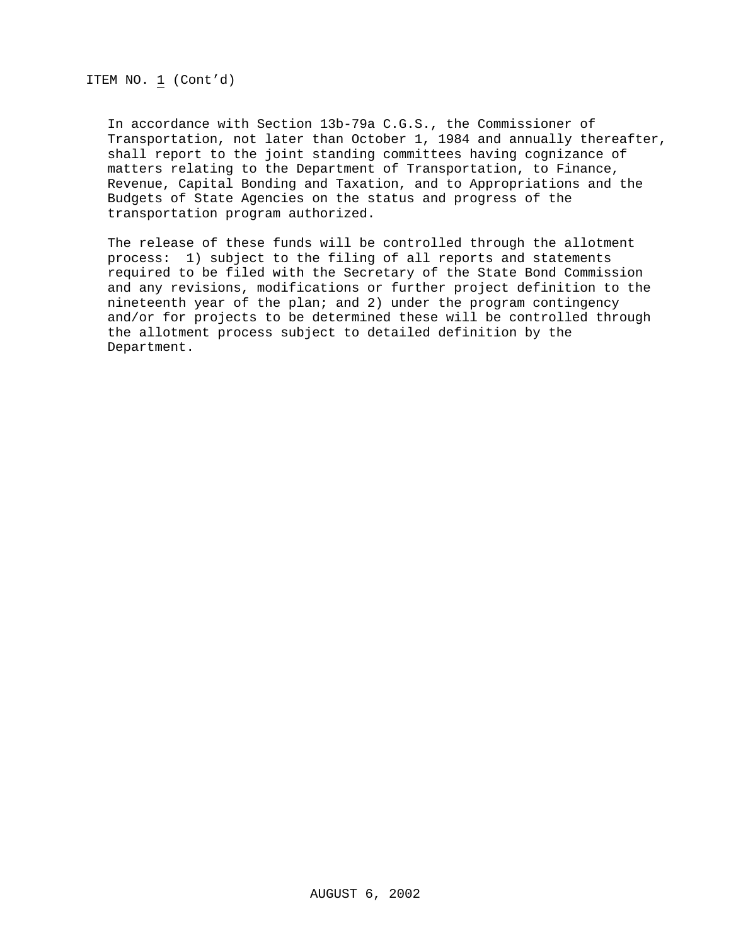In accordance with Section 13b-79a C.G.S., the Commissioner of Transportation, not later than October 1, 1984 and annually thereafter, shall report to the joint standing committees having cognizance of matters relating to the Department of Transportation, to Finance, Revenue, Capital Bonding and Taxation, and to Appropriations and the Budgets of State Agencies on the status and progress of the transportation program authorized.

The release of these funds will be controlled through the allotment process: 1) subject to the filing of all reports and statements required to be filed with the Secretary of the State Bond Commission and any revisions, modifications or further project definition to the nineteenth year of the plan; and 2) under the program contingency and/or for projects to be determined these will be controlled through the allotment process subject to detailed definition by the Department.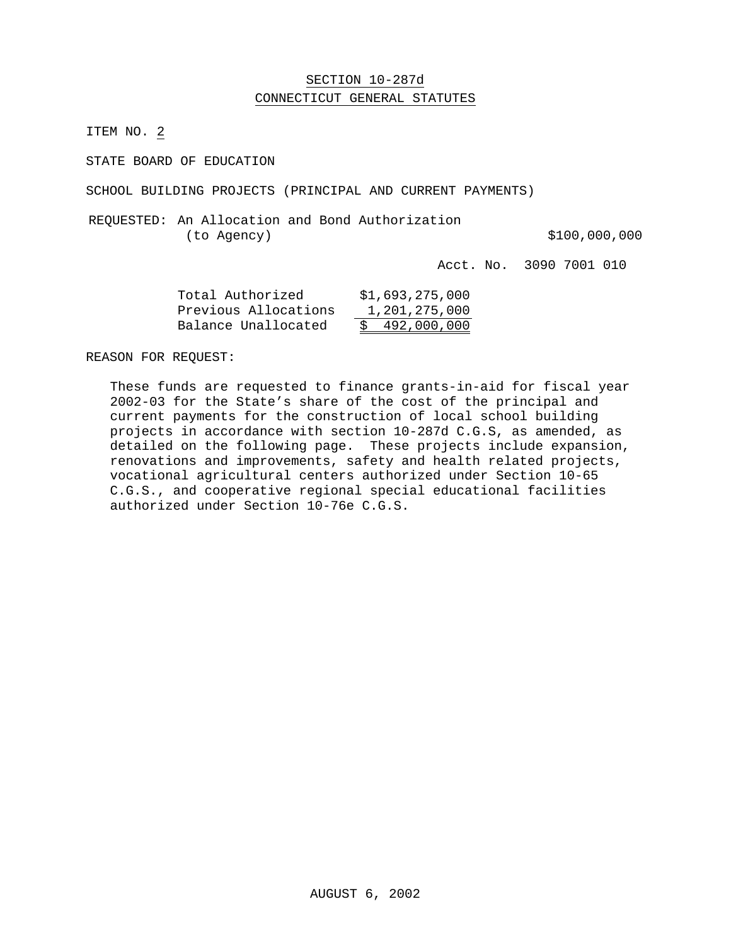## SECTION 10-287d CONNECTICUT GENERAL STATUTES

ITEM NO. 2

STATE BOARD OF EDUCATION

SCHOOL BUILDING PROJECTS (PRINCIPAL AND CURRENT PAYMENTS)

REQUESTED: An Allocation and Bond Authorization (to Agency)  $$100,000,000$ 

Acct. No. 3090 7001 010

| Total Authorized     | \$1,693,275,000 |
|----------------------|-----------------|
| Previous Allocations | 1,201,275,000   |
| Balance Unallocated  | \$492,000,000   |

REASON FOR REQUEST:

These funds are requested to finance grants-in-aid for fiscal year 2002-03 for the State's share of the cost of the principal and current payments for the construction of local school building projects in accordance with section 10-287d C.G.S, as amended, as detailed on the following page. These projects include expansion, renovations and improvements, safety and health related projects, vocational agricultural centers authorized under Section 10-65 C.G.S., and cooperative regional special educational facilities authorized under Section 10-76e C.G.S.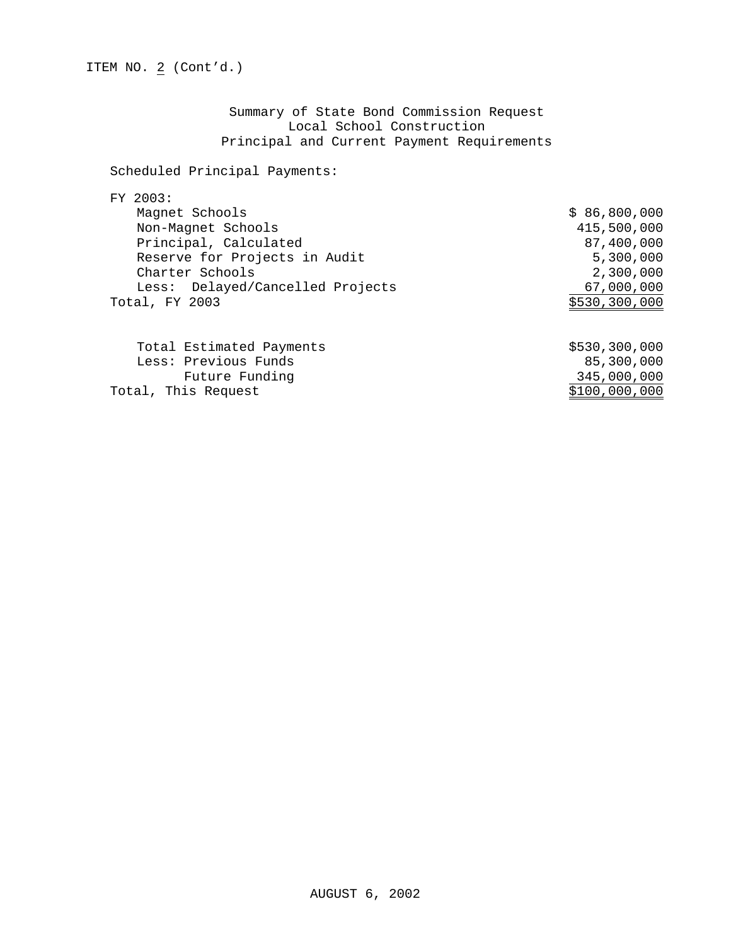Summary of State Bond Commission Request Local School Construction Principal and Current Payment Requirements

## Scheduled Principal Payments:

## FY 2003:

| Magnet Schools                   | \$86,800,000  |
|----------------------------------|---------------|
| Non-Magnet Schools               | 415,500,000   |
| Principal, Calculated            | 87,400,000    |
| Reserve for Projects in Audit    | 5,300,000     |
| Charter Schools                  | 2,300,000     |
| Less: Delayed/Cancelled Projects | 67,000,000    |
| Total, FY 2003                   | \$530,300,000 |
|                                  |               |
| Total Estimated Payments         | \$530,300,000 |
| Less: Previous Funds             | 85,300,000    |
| Future Funding                   | 345,000,000   |
| Total, This Request              | \$100,000,000 |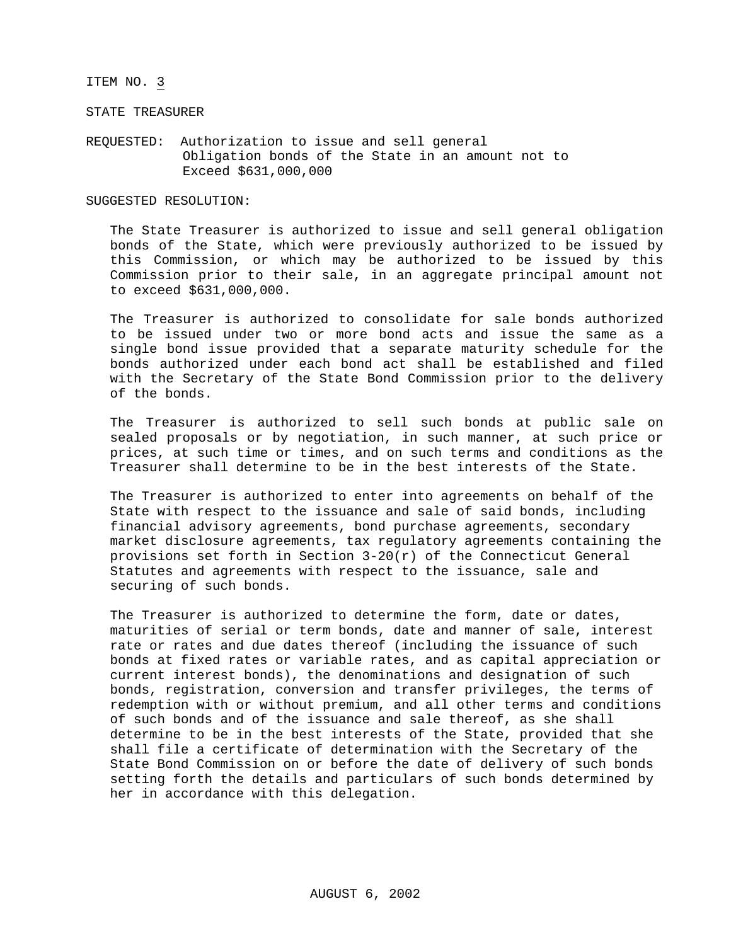### ITEM NO. 3

STATE TREASURER

REQUESTED: Authorization to issue and sell general Obligation bonds of the State in an amount not to Exceed \$631,000,000

#### SUGGESTED RESOLUTION:

The State Treasurer is authorized to issue and sell general obligation bonds of the State, which were previously authorized to be issued by this Commission, or which may be authorized to be issued by this Commission prior to their sale, in an aggregate principal amount not to exceed \$631,000,000.

The Treasurer is authorized to consolidate for sale bonds authorized to be issued under two or more bond acts and issue the same as a single bond issue provided that a separate maturity schedule for the bonds authorized under each bond act shall be established and filed with the Secretary of the State Bond Commission prior to the delivery of the bonds.

The Treasurer is authorized to sell such bonds at public sale on sealed proposals or by negotiation, in such manner, at such price or prices, at such time or times, and on such terms and conditions as the Treasurer shall determine to be in the best interests of the State.

The Treasurer is authorized to enter into agreements on behalf of the State with respect to the issuance and sale of said bonds, including financial advisory agreements, bond purchase agreements, secondary market disclosure agreements, tax regulatory agreements containing the provisions set forth in Section  $3-20(r)$  of the Connecticut General Statutes and agreements with respect to the issuance, sale and securing of such bonds.

The Treasurer is authorized to determine the form, date or dates, maturities of serial or term bonds, date and manner of sale, interest rate or rates and due dates thereof (including the issuance of such bonds at fixed rates or variable rates, and as capital appreciation or current interest bonds), the denominations and designation of such bonds, registration, conversion and transfer privileges, the terms of redemption with or without premium, and all other terms and conditions of such bonds and of the issuance and sale thereof, as she shall determine to be in the best interests of the State, provided that she shall file a certificate of determination with the Secretary of the State Bond Commission on or before the date of delivery of such bonds setting forth the details and particulars of such bonds determined by her in accordance with this delegation.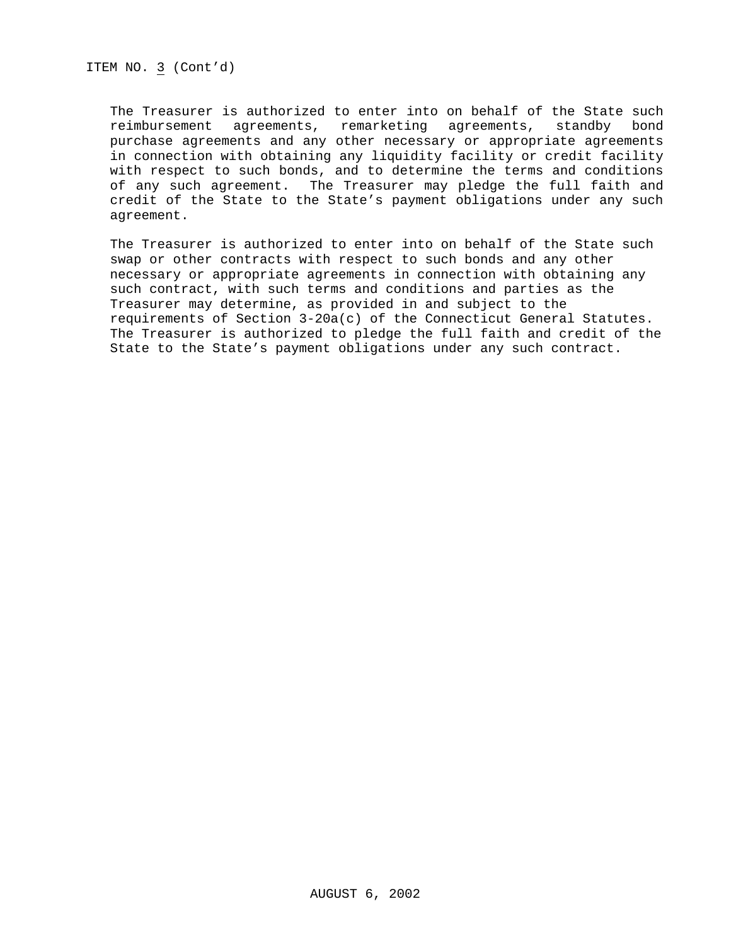ITEM NO. 3 (Cont'd)

The Treasurer is authorized to enter into on behalf of the State such reimbursement agreements, remarketing agreements, standby bond purchase agreements and any other necessary or appropriate agreements in connection with obtaining any liquidity facility or credit facility with respect to such bonds, and to determine the terms and conditions of any such agreement. The Treasurer may pledge the full faith and credit of the State to the State's payment obligations under any such agreement.

The Treasurer is authorized to enter into on behalf of the State such swap or other contracts with respect to such bonds and any other necessary or appropriate agreements in connection with obtaining any such contract, with such terms and conditions and parties as the Treasurer may determine, as provided in and subject to the requirements of Section 3-20a(c) of the Connecticut General Statutes. The Treasurer is authorized to pledge the full faith and credit of the State to the State's payment obligations under any such contract.